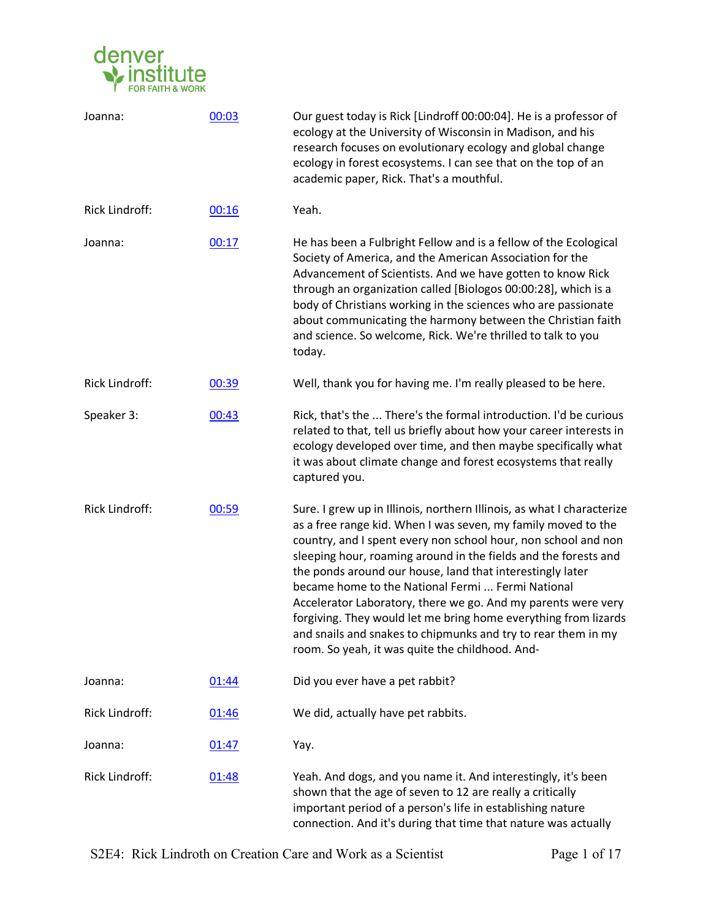

| Joanna:               | 00:03 | Our guest today is Rick [Lindroff 00:00:04]. He is a professor of<br>ecology at the University of Wisconsin in Madison, and his<br>research focuses on evolutionary ecology and global change<br>ecology in forest ecosystems. I can see that on the top of an<br>academic paper, Rick. That's a mouthful.                                                                                                                                                                                                                                                                                                                                             |
|-----------------------|-------|--------------------------------------------------------------------------------------------------------------------------------------------------------------------------------------------------------------------------------------------------------------------------------------------------------------------------------------------------------------------------------------------------------------------------------------------------------------------------------------------------------------------------------------------------------------------------------------------------------------------------------------------------------|
| <b>Rick Lindroff:</b> | 00:16 | Yeah.                                                                                                                                                                                                                                                                                                                                                                                                                                                                                                                                                                                                                                                  |
| Joanna:               | 00:17 | He has been a Fulbright Fellow and is a fellow of the Ecological<br>Society of America, and the American Association for the<br>Advancement of Scientists. And we have gotten to know Rick<br>through an organization called [Biologos 00:00:28], which is a<br>body of Christians working in the sciences who are passionate<br>about communicating the harmony between the Christian faith<br>and science. So welcome, Rick. We're thrilled to talk to you<br>today.                                                                                                                                                                                 |
| <b>Rick Lindroff:</b> | 00:39 | Well, thank you for having me. I'm really pleased to be here.                                                                                                                                                                                                                                                                                                                                                                                                                                                                                                                                                                                          |
| Speaker 3:            | 00:43 | Rick, that's the  There's the formal introduction. I'd be curious<br>related to that, tell us briefly about how your career interests in<br>ecology developed over time, and then maybe specifically what<br>it was about climate change and forest ecosystems that really<br>captured you.                                                                                                                                                                                                                                                                                                                                                            |
| <b>Rick Lindroff:</b> | 00:59 | Sure. I grew up in Illinois, northern Illinois, as what I characterize<br>as a free range kid. When I was seven, my family moved to the<br>country, and I spent every non school hour, non school and non<br>sleeping hour, roaming around in the fields and the forests and<br>the ponds around our house, land that interestingly later<br>became home to the National Fermi  Fermi National<br>Accelerator Laboratory, there we go. And my parents were very<br>forgiving. They would let me bring home everything from lizards<br>and snails and snakes to chipmunks and try to rear them in my<br>room. So yeah, it was quite the childhood. And- |
| Joanna:               | 01:44 | Did you ever have a pet rabbit?                                                                                                                                                                                                                                                                                                                                                                                                                                                                                                                                                                                                                        |
| Rick Lindroff:        | 01:46 | We did, actually have pet rabbits.                                                                                                                                                                                                                                                                                                                                                                                                                                                                                                                                                                                                                     |
| Joanna:               | 01:47 | Yay.                                                                                                                                                                                                                                                                                                                                                                                                                                                                                                                                                                                                                                                   |
| Rick Lindroff:        | 01:48 | Yeah. And dogs, and you name it. And interestingly, it's been<br>shown that the age of seven to 12 are really a critically<br>important period of a person's life in establishing nature<br>connection. And it's during that time that nature was actually                                                                                                                                                                                                                                                                                                                                                                                             |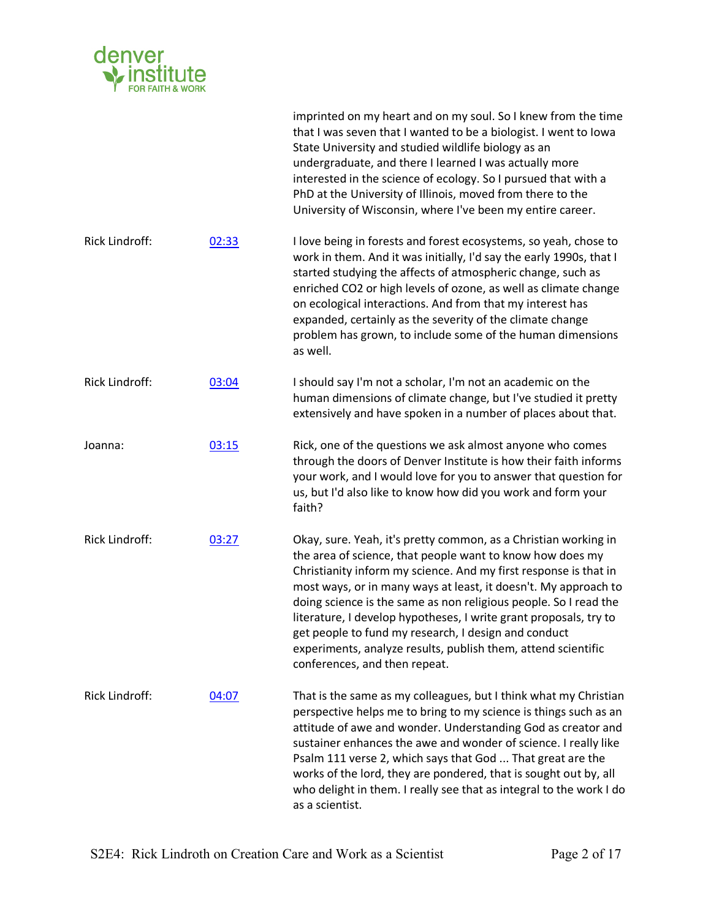

|                       |       | imprinted on my heart and on my soul. So I knew from the time<br>that I was seven that I wanted to be a biologist. I went to lowa<br>State University and studied wildlife biology as an<br>undergraduate, and there I learned I was actually more<br>interested in the science of ecology. So I pursued that with a<br>PhD at the University of Illinois, moved from there to the<br>University of Wisconsin, where I've been my entire career.                                                                                                                       |
|-----------------------|-------|------------------------------------------------------------------------------------------------------------------------------------------------------------------------------------------------------------------------------------------------------------------------------------------------------------------------------------------------------------------------------------------------------------------------------------------------------------------------------------------------------------------------------------------------------------------------|
| Rick Lindroff:        | 02:33 | I love being in forests and forest ecosystems, so yeah, chose to<br>work in them. And it was initially, I'd say the early 1990s, that I<br>started studying the affects of atmospheric change, such as<br>enriched CO2 or high levels of ozone, as well as climate change<br>on ecological interactions. And from that my interest has<br>expanded, certainly as the severity of the climate change<br>problem has grown, to include some of the human dimensions<br>as well.                                                                                          |
| <b>Rick Lindroff:</b> | 03:04 | I should say I'm not a scholar, I'm not an academic on the<br>human dimensions of climate change, but I've studied it pretty<br>extensively and have spoken in a number of places about that.                                                                                                                                                                                                                                                                                                                                                                          |
| Joanna:               | 03:15 | Rick, one of the questions we ask almost anyone who comes<br>through the doors of Denver Institute is how their faith informs<br>your work, and I would love for you to answer that question for<br>us, but I'd also like to know how did you work and form your<br>faith?                                                                                                                                                                                                                                                                                             |
| <b>Rick Lindroff:</b> | 03:27 | Okay, sure. Yeah, it's pretty common, as a Christian working in<br>the area of science, that people want to know how does my<br>Christianity inform my science. And my first response is that in<br>most ways, or in many ways at least, it doesn't. My approach to<br>doing science is the same as non religious people. So I read the<br>literature, I develop hypotheses, I write grant proposals, try to<br>get people to fund my research, I design and conduct<br>experiments, analyze results, publish them, attend scientific<br>conferences, and then repeat. |
| Rick Lindroff:        | 04:07 | That is the same as my colleagues, but I think what my Christian<br>perspective helps me to bring to my science is things such as an<br>attitude of awe and wonder. Understanding God as creator and<br>sustainer enhances the awe and wonder of science. I really like<br>Psalm 111 verse 2, which says that God  That great are the<br>works of the lord, they are pondered, that is sought out by, all<br>who delight in them. I really see that as integral to the work I do<br>as a scientist.                                                                    |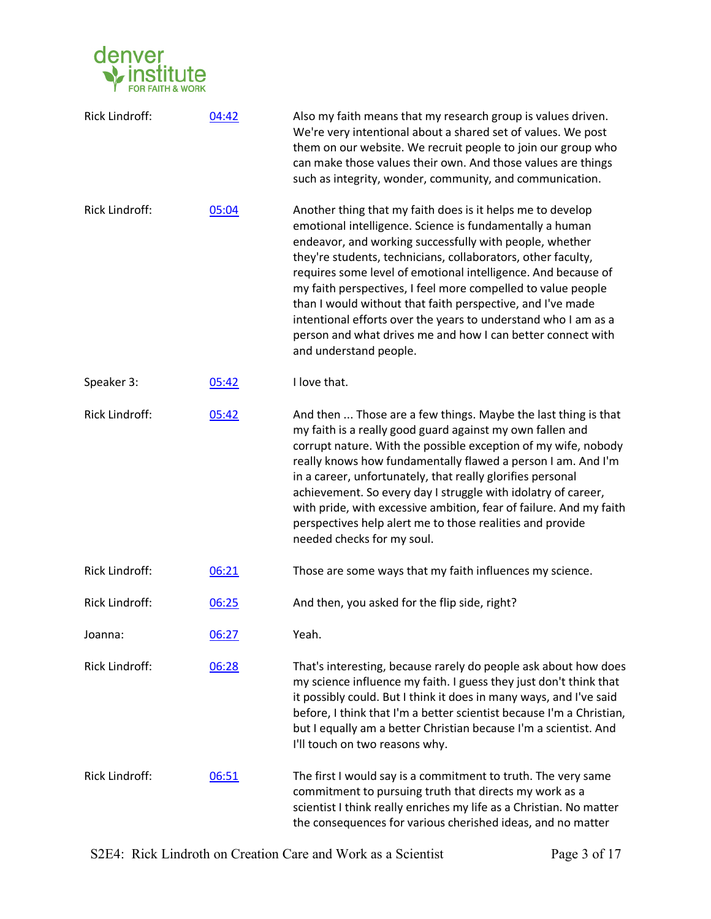

| <b>Rick Lindroff:</b> | 04:42 | Also my faith means that my research group is values driven.<br>We're very intentional about a shared set of values. We post<br>them on our website. We recruit people to join our group who<br>can make those values their own. And those values are things<br>such as integrity, wonder, community, and communication.                                                                                                                                                                                                                                                                                    |
|-----------------------|-------|-------------------------------------------------------------------------------------------------------------------------------------------------------------------------------------------------------------------------------------------------------------------------------------------------------------------------------------------------------------------------------------------------------------------------------------------------------------------------------------------------------------------------------------------------------------------------------------------------------------|
| Rick Lindroff:        | 05:04 | Another thing that my faith does is it helps me to develop<br>emotional intelligence. Science is fundamentally a human<br>endeavor, and working successfully with people, whether<br>they're students, technicians, collaborators, other faculty,<br>requires some level of emotional intelligence. And because of<br>my faith perspectives, I feel more compelled to value people<br>than I would without that faith perspective, and I've made<br>intentional efforts over the years to understand who I am as a<br>person and what drives me and how I can better connect with<br>and understand people. |
| Speaker 3:            | 05:42 | I love that.                                                                                                                                                                                                                                                                                                                                                                                                                                                                                                                                                                                                |
| <b>Rick Lindroff:</b> | 05:42 | And then  Those are a few things. Maybe the last thing is that<br>my faith is a really good guard against my own fallen and<br>corrupt nature. With the possible exception of my wife, nobody<br>really knows how fundamentally flawed a person I am. And I'm<br>in a career, unfortunately, that really glorifies personal<br>achievement. So every day I struggle with idolatry of career,<br>with pride, with excessive ambition, fear of failure. And my faith<br>perspectives help alert me to those realities and provide<br>needed checks for my soul.                                               |
| <b>Rick Lindroff:</b> | 06:21 | Those are some ways that my faith influences my science.                                                                                                                                                                                                                                                                                                                                                                                                                                                                                                                                                    |
| <b>Rick Lindroff:</b> | 06:25 | And then, you asked for the flip side, right?                                                                                                                                                                                                                                                                                                                                                                                                                                                                                                                                                               |
| Joanna:               | 06:27 | Yeah.                                                                                                                                                                                                                                                                                                                                                                                                                                                                                                                                                                                                       |
| Rick Lindroff:        | 06:28 | That's interesting, because rarely do people ask about how does<br>my science influence my faith. I guess they just don't think that<br>it possibly could. But I think it does in many ways, and I've said<br>before, I think that I'm a better scientist because I'm a Christian,<br>but I equally am a better Christian because I'm a scientist. And<br>I'll touch on two reasons why.                                                                                                                                                                                                                    |
| <b>Rick Lindroff:</b> | 06:51 | The first I would say is a commitment to truth. The very same<br>commitment to pursuing truth that directs my work as a<br>scientist I think really enriches my life as a Christian. No matter<br>the consequences for various cherished ideas, and no matter                                                                                                                                                                                                                                                                                                                                               |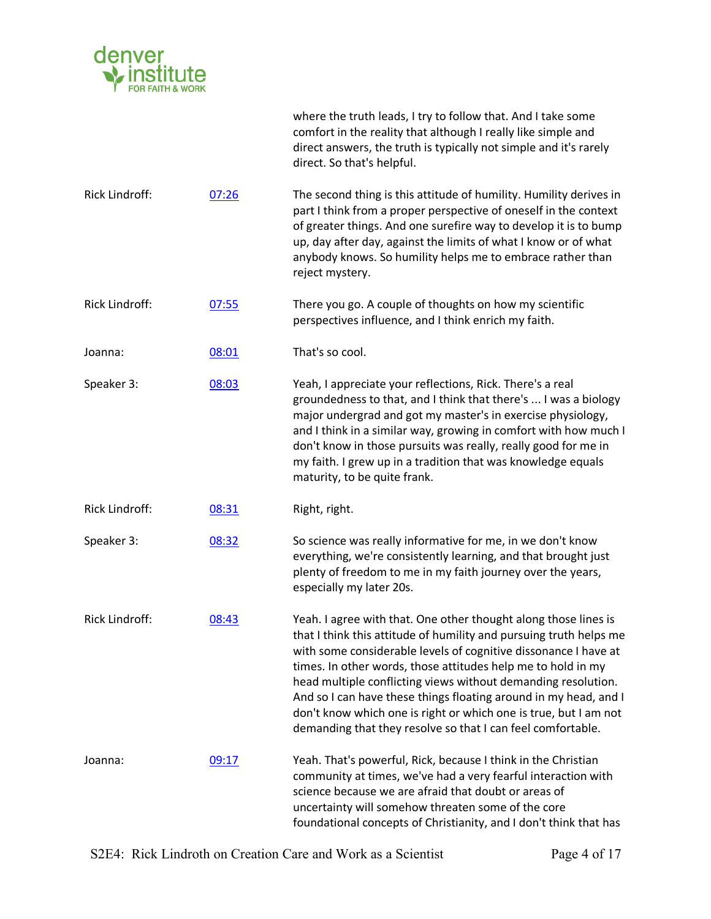

|                       |       | where the truth leads, I try to follow that. And I take some<br>comfort in the reality that although I really like simple and<br>direct answers, the truth is typically not simple and it's rarely<br>direct. So that's helpful.                                                                                                                                                                                                                                                                                                                 |
|-----------------------|-------|--------------------------------------------------------------------------------------------------------------------------------------------------------------------------------------------------------------------------------------------------------------------------------------------------------------------------------------------------------------------------------------------------------------------------------------------------------------------------------------------------------------------------------------------------|
| Rick Lindroff:        | 07:26 | The second thing is this attitude of humility. Humility derives in<br>part I think from a proper perspective of oneself in the context<br>of greater things. And one surefire way to develop it is to bump<br>up, day after day, against the limits of what I know or of what<br>anybody knows. So humility helps me to embrace rather than<br>reject mystery.                                                                                                                                                                                   |
| <b>Rick Lindroff:</b> | 07:55 | There you go. A couple of thoughts on how my scientific<br>perspectives influence, and I think enrich my faith.                                                                                                                                                                                                                                                                                                                                                                                                                                  |
| Joanna:               | 08:01 | That's so cool.                                                                                                                                                                                                                                                                                                                                                                                                                                                                                                                                  |
| Speaker 3:            | 08:03 | Yeah, I appreciate your reflections, Rick. There's a real<br>groundedness to that, and I think that there's  I was a biology<br>major undergrad and got my master's in exercise physiology,<br>and I think in a similar way, growing in comfort with how much I<br>don't know in those pursuits was really, really good for me in<br>my faith. I grew up in a tradition that was knowledge equals<br>maturity, to be quite frank.                                                                                                                |
| Rick Lindroff:        | 08:31 | Right, right.                                                                                                                                                                                                                                                                                                                                                                                                                                                                                                                                    |
| Speaker 3:            | 08:32 | So science was really informative for me, in we don't know<br>everything, we're consistently learning, and that brought just<br>plenty of freedom to me in my faith journey over the years,<br>especially my later 20s.                                                                                                                                                                                                                                                                                                                          |
| Rick Lindroff:        | 08:43 | Yeah. I agree with that. One other thought along those lines is<br>that I think this attitude of humility and pursuing truth helps me<br>with some considerable levels of cognitive dissonance I have at<br>times. In other words, those attitudes help me to hold in my<br>head multiple conflicting views without demanding resolution.<br>And so I can have these things floating around in my head, and I<br>don't know which one is right or which one is true, but I am not<br>demanding that they resolve so that I can feel comfortable. |
| Joanna:               | 09:17 | Yeah. That's powerful, Rick, because I think in the Christian<br>community at times, we've had a very fearful interaction with<br>science because we are afraid that doubt or areas of<br>uncertainty will somehow threaten some of the core<br>foundational concepts of Christianity, and I don't think that has                                                                                                                                                                                                                                |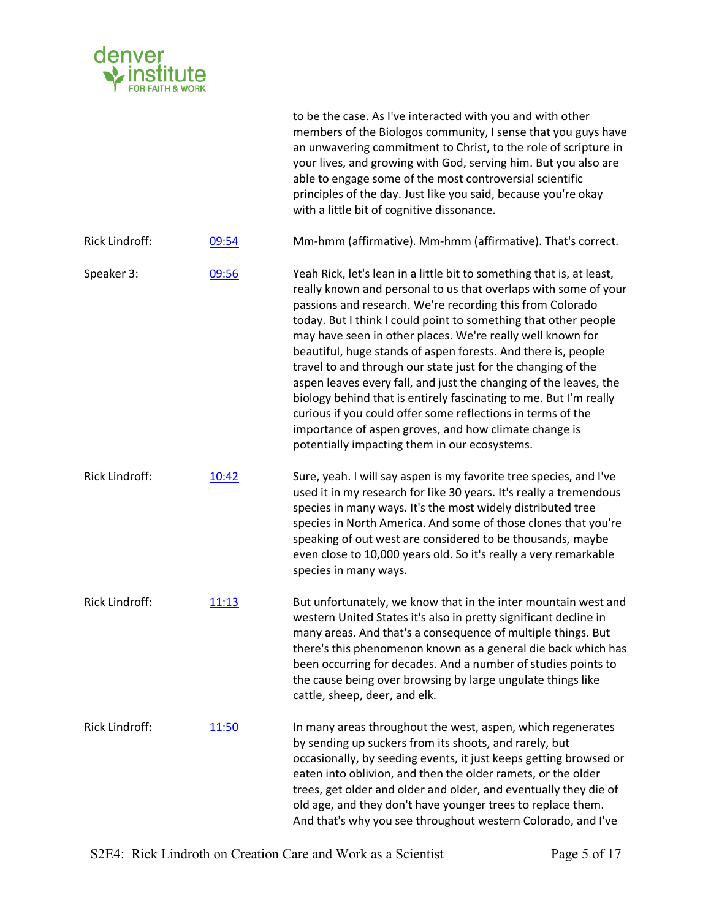

|                       |       | members of the Biologos community, I sense that you guys have<br>an unwavering commitment to Christ, to the role of scripture in<br>your lives, and growing with God, serving him. But you also are<br>able to engage some of the most controversial scientific<br>principles of the day. Just like you said, because you're okay<br>with a little bit of cognitive dissonance.                                                                                                                                                                                                                                                                                                                                                                                                            |
|-----------------------|-------|--------------------------------------------------------------------------------------------------------------------------------------------------------------------------------------------------------------------------------------------------------------------------------------------------------------------------------------------------------------------------------------------------------------------------------------------------------------------------------------------------------------------------------------------------------------------------------------------------------------------------------------------------------------------------------------------------------------------------------------------------------------------------------------------|
| Rick Lindroff:        | 09:54 | Mm-hmm (affirmative). Mm-hmm (affirmative). That's correct.                                                                                                                                                                                                                                                                                                                                                                                                                                                                                                                                                                                                                                                                                                                                |
| Speaker 3:            | 09:56 | Yeah Rick, let's lean in a little bit to something that is, at least,<br>really known and personal to us that overlaps with some of your<br>passions and research. We're recording this from Colorado<br>today. But I think I could point to something that other people<br>may have seen in other places. We're really well known for<br>beautiful, huge stands of aspen forests. And there is, people<br>travel to and through our state just for the changing of the<br>aspen leaves every fall, and just the changing of the leaves, the<br>biology behind that is entirely fascinating to me. But I'm really<br>curious if you could offer some reflections in terms of the<br>importance of aspen groves, and how climate change is<br>potentially impacting them in our ecosystems. |
| <b>Rick Lindroff:</b> | 10:42 | Sure, yeah. I will say aspen is my favorite tree species, and I've<br>used it in my research for like 30 years. It's really a tremendous<br>species in many ways. It's the most widely distributed tree<br>species in North America. And some of those clones that you're<br>speaking of out west are considered to be thousands, maybe<br>even close to 10,000 years old. So it's really a very remarkable<br>species in many ways.                                                                                                                                                                                                                                                                                                                                                       |
| Rick Lindroff:        | 11:13 | But unfortunately, we know that in the inter mountain west and<br>western United States it's also in pretty significant decline in<br>many areas. And that's a consequence of multiple things. But<br>there's this phenomenon known as a general die back which has<br>been occurring for decades. And a number of studies points to<br>the cause being over browsing by large ungulate things like<br>cattle, sheep, deer, and elk.                                                                                                                                                                                                                                                                                                                                                       |
| <b>Rick Lindroff:</b> | 11:50 | In many areas throughout the west, aspen, which regenerates<br>by sending up suckers from its shoots, and rarely, but<br>occasionally, by seeding events, it just keeps getting browsed or<br>eaten into oblivion, and then the older ramets, or the older<br>trees, get older and older and older, and eventually they die of<br>old age, and they don't have younger trees to replace them.<br>And that's why you see throughout western Colorado, and I've                                                                                                                                                                                                                                                                                                                              |

to be the case. As I've interacted with you and with other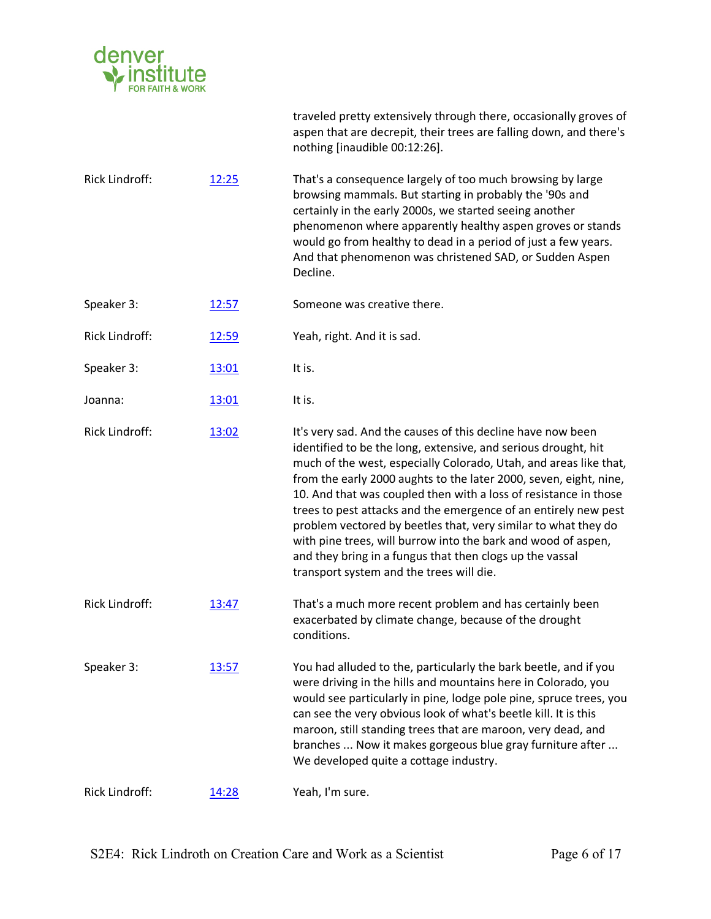

aspen that are decrepit, their trees are falling down, and there's nothing [inaudible 00:12:26]. Rick Lindroff: 12:25 That's a consequence largely of too much browsing by large browsing mammals. But starting in probably the '90s and certainly in the early 2000s, we started seeing another phenomenon where apparently healthy aspen groves or stands would go from healthy to dead in a period of just a few years. And that phenomenon was christened SAD, or Sudden Aspen Decline. Speaker 3: 12:57 Someone was creative there. Rick Lindroff: 12:59 Yeah, right. And it is sad. Speaker 3: 13:01 It is. Joanna: 13:01 It is. Rick Lindroff: 13:02 It's very sad. And the causes of this decline have now been identified to be the long, extensive, and serious drought, hit much of the west, especially Colorado, Utah, and areas like that, from the early 2000 aughts to the later 2000, seven, eight, nine, 10. And that was coupled then with a loss of resistance in those trees to pest attacks and the emergence of an entirely new pest problem vectored by beetles that, very similar to what they do with pine trees, will burrow into the bark and wood of aspen, and they bring in a fungus that then clogs up the vassal transport system and the trees will die. Rick Lindroff: 13:47 That's a much more recent problem and has certainly been exacerbated by climate change, because of the drought conditions. Speaker 3: 13:57 You had alluded to the, particularly the bark beetle, and if you were driving in the hills and mountains here in Colorado, you would see particularly in pine, lodge pole pine, spruce trees, you can see the very obvious look of what's beetle kill. It is this maroon, still standing trees that are maroon, very dead, and branches ... Now it makes gorgeous blue gray furniture after ... We developed quite a cottage industry. Rick Lindroff: 14:28 Yeah, I'm sure.

traveled pretty extensively through there, occasionally groves of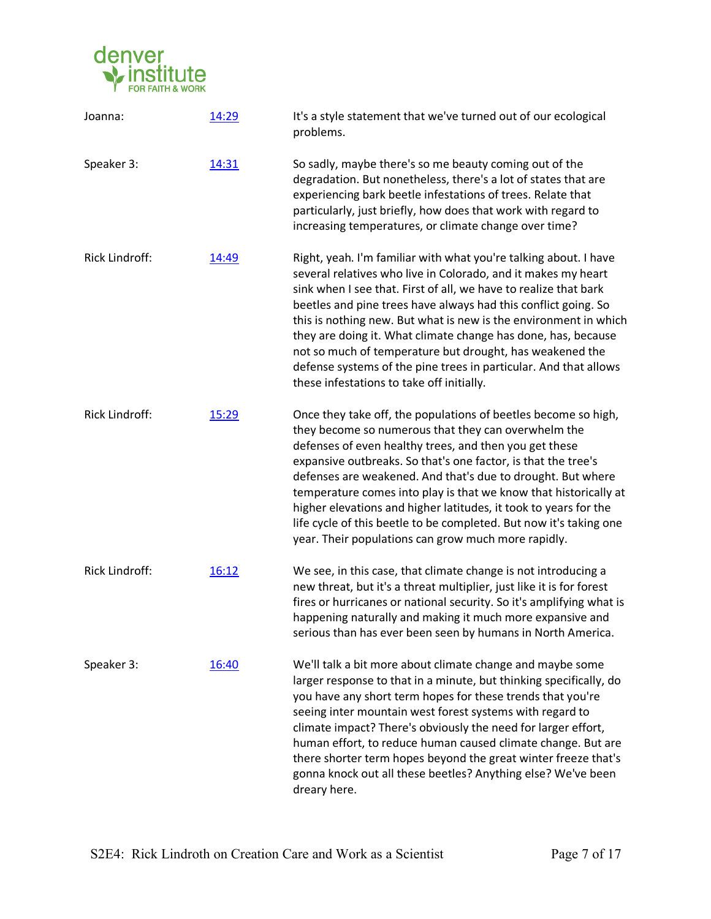

| Joanna:               | 14:29 | It's a style statement that we've turned out of our ecological<br>problems.                                                                                                                                                                                                                                                                                                                                                                                                                                                                                                               |
|-----------------------|-------|-------------------------------------------------------------------------------------------------------------------------------------------------------------------------------------------------------------------------------------------------------------------------------------------------------------------------------------------------------------------------------------------------------------------------------------------------------------------------------------------------------------------------------------------------------------------------------------------|
| Speaker 3:            | 14:31 | So sadly, maybe there's so me beauty coming out of the<br>degradation. But nonetheless, there's a lot of states that are<br>experiencing bark beetle infestations of trees. Relate that<br>particularly, just briefly, how does that work with regard to<br>increasing temperatures, or climate change over time?                                                                                                                                                                                                                                                                         |
| Rick Lindroff:        | 14:49 | Right, yeah. I'm familiar with what you're talking about. I have<br>several relatives who live in Colorado, and it makes my heart<br>sink when I see that. First of all, we have to realize that bark<br>beetles and pine trees have always had this conflict going. So<br>this is nothing new. But what is new is the environment in which<br>they are doing it. What climate change has done, has, because<br>not so much of temperature but drought, has weakened the<br>defense systems of the pine trees in particular. And that allows<br>these infestations to take off initially. |
| <b>Rick Lindroff:</b> | 15:29 | Once they take off, the populations of beetles become so high,<br>they become so numerous that they can overwhelm the<br>defenses of even healthy trees, and then you get these<br>expansive outbreaks. So that's one factor, is that the tree's<br>defenses are weakened. And that's due to drought. But where<br>temperature comes into play is that we know that historically at<br>higher elevations and higher latitudes, it took to years for the<br>life cycle of this beetle to be completed. But now it's taking one<br>year. Their populations can grow much more rapidly.      |
| Rick Lindroff:        | 16:12 | We see, in this case, that climate change is not introducing a<br>new threat, but it's a threat multiplier, just like it is for forest<br>fires or hurricanes or national security. So it's amplifying what is<br>happening naturally and making it much more expansive and<br>serious than has ever been seen by humans in North America.                                                                                                                                                                                                                                                |
| Speaker 3:            | 16:40 | We'll talk a bit more about climate change and maybe some<br>larger response to that in a minute, but thinking specifically, do<br>you have any short term hopes for these trends that you're<br>seeing inter mountain west forest systems with regard to<br>climate impact? There's obviously the need for larger effort,<br>human effort, to reduce human caused climate change. But are<br>there shorter term hopes beyond the great winter freeze that's<br>gonna knock out all these beetles? Anything else? We've been<br>dreary here.                                              |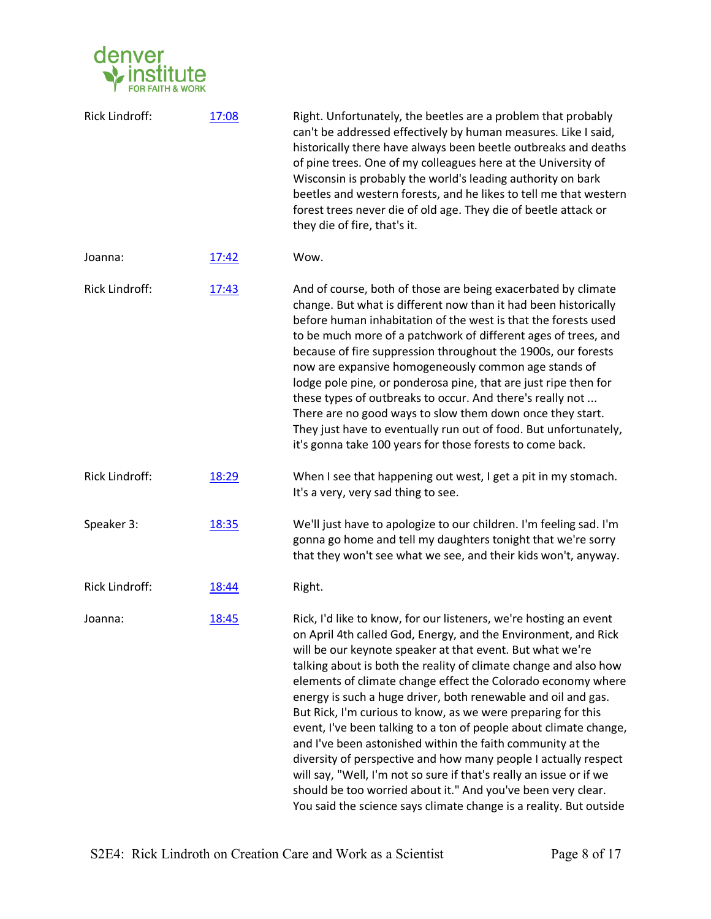

| Rick Lindroff:        | 17:08 | Right. Unfortunately, the beetles are a problem that probably<br>can't be addressed effectively by human measures. Like I said,<br>historically there have always been beetle outbreaks and deaths<br>of pine trees. One of my colleagues here at the University of<br>Wisconsin is probably the world's leading authority on bark<br>beetles and western forests, and he likes to tell me that western<br>forest trees never die of old age. They die of beetle attack or<br>they die of fire, that's it.                                                                                                                                                                                                                                                                                                                                                                               |
|-----------------------|-------|------------------------------------------------------------------------------------------------------------------------------------------------------------------------------------------------------------------------------------------------------------------------------------------------------------------------------------------------------------------------------------------------------------------------------------------------------------------------------------------------------------------------------------------------------------------------------------------------------------------------------------------------------------------------------------------------------------------------------------------------------------------------------------------------------------------------------------------------------------------------------------------|
| Joanna:               | 17:42 | Wow.                                                                                                                                                                                                                                                                                                                                                                                                                                                                                                                                                                                                                                                                                                                                                                                                                                                                                     |
| Rick Lindroff:        | 17:43 | And of course, both of those are being exacerbated by climate<br>change. But what is different now than it had been historically<br>before human inhabitation of the west is that the forests used<br>to be much more of a patchwork of different ages of trees, and<br>because of fire suppression throughout the 1900s, our forests<br>now are expansive homogeneously common age stands of<br>lodge pole pine, or ponderosa pine, that are just ripe then for<br>these types of outbreaks to occur. And there's really not<br>There are no good ways to slow them down once they start.<br>They just have to eventually run out of food. But unfortunately,<br>it's gonna take 100 years for those forests to come back.                                                                                                                                                              |
| Rick Lindroff:        | 18:29 | When I see that happening out west, I get a pit in my stomach.<br>It's a very, very sad thing to see.                                                                                                                                                                                                                                                                                                                                                                                                                                                                                                                                                                                                                                                                                                                                                                                    |
| Speaker 3:            | 18:35 | We'll just have to apologize to our children. I'm feeling sad. I'm<br>gonna go home and tell my daughters tonight that we're sorry<br>that they won't see what we see, and their kids won't, anyway.                                                                                                                                                                                                                                                                                                                                                                                                                                                                                                                                                                                                                                                                                     |
| <b>Rick Lindroff:</b> | 18:44 | Right.                                                                                                                                                                                                                                                                                                                                                                                                                                                                                                                                                                                                                                                                                                                                                                                                                                                                                   |
| Joanna:               | 18:45 | Rick, I'd like to know, for our listeners, we're hosting an event<br>on April 4th called God, Energy, and the Environment, and Rick<br>will be our keynote speaker at that event. But what we're<br>talking about is both the reality of climate change and also how<br>elements of climate change effect the Colorado economy where<br>energy is such a huge driver, both renewable and oil and gas.<br>But Rick, I'm curious to know, as we were preparing for this<br>event, I've been talking to a ton of people about climate change,<br>and I've been astonished within the faith community at the<br>diversity of perspective and how many people I actually respect<br>will say, "Well, I'm not so sure if that's really an issue or if we<br>should be too worried about it." And you've been very clear.<br>You said the science says climate change is a reality. But outside |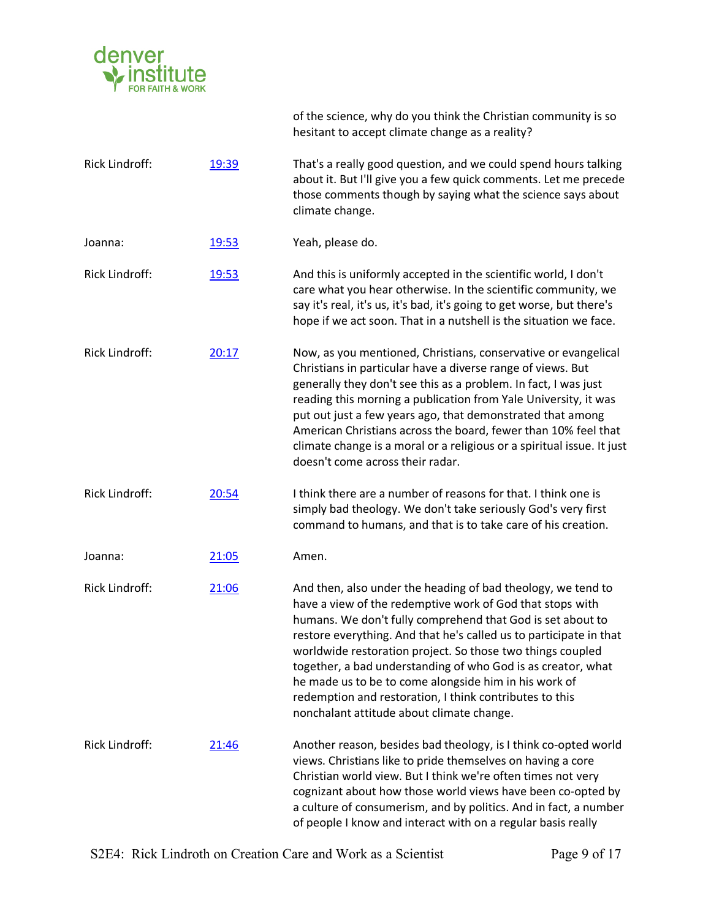

|                       |       | of the science, why do you think the Christian community is so<br>hesitant to accept climate change as a reality?                                                                                                                                                                                                                                                                                                                                                                                                                                            |
|-----------------------|-------|--------------------------------------------------------------------------------------------------------------------------------------------------------------------------------------------------------------------------------------------------------------------------------------------------------------------------------------------------------------------------------------------------------------------------------------------------------------------------------------------------------------------------------------------------------------|
| <b>Rick Lindroff:</b> | 19:39 | That's a really good question, and we could spend hours talking<br>about it. But I'll give you a few quick comments. Let me precede<br>those comments though by saying what the science says about<br>climate change.                                                                                                                                                                                                                                                                                                                                        |
| Joanna:               | 19:53 | Yeah, please do.                                                                                                                                                                                                                                                                                                                                                                                                                                                                                                                                             |
| Rick Lindroff:        | 19:53 | And this is uniformly accepted in the scientific world, I don't<br>care what you hear otherwise. In the scientific community, we<br>say it's real, it's us, it's bad, it's going to get worse, but there's<br>hope if we act soon. That in a nutshell is the situation we face.                                                                                                                                                                                                                                                                              |
| <b>Rick Lindroff:</b> | 20:17 | Now, as you mentioned, Christians, conservative or evangelical<br>Christians in particular have a diverse range of views. But<br>generally they don't see this as a problem. In fact, I was just<br>reading this morning a publication from Yale University, it was<br>put out just a few years ago, that demonstrated that among<br>American Christians across the board, fewer than 10% feel that<br>climate change is a moral or a religious or a spiritual issue. It just<br>doesn't come across their radar.                                            |
| <b>Rick Lindroff:</b> | 20:54 | I think there are a number of reasons for that. I think one is<br>simply bad theology. We don't take seriously God's very first<br>command to humans, and that is to take care of his creation.                                                                                                                                                                                                                                                                                                                                                              |
| Joanna:               | 21:05 | Amen.                                                                                                                                                                                                                                                                                                                                                                                                                                                                                                                                                        |
| Rick Lindroff:        | 21:06 | And then, also under the heading of bad theology, we tend to<br>have a view of the redemptive work of God that stops with<br>humans. We don't fully comprehend that God is set about to<br>restore everything. And that he's called us to participate in that<br>worldwide restoration project. So those two things coupled<br>together, a bad understanding of who God is as creator, what<br>he made us to be to come alongside him in his work of<br>redemption and restoration, I think contributes to this<br>nonchalant attitude about climate change. |
| <b>Rick Lindroff:</b> | 21:46 | Another reason, besides bad theology, is I think co-opted world<br>views. Christians like to pride themselves on having a core<br>Christian world view. But I think we're often times not very<br>cognizant about how those world views have been co-opted by<br>a culture of consumerism, and by politics. And in fact, a number<br>of people I know and interact with on a regular basis really                                                                                                                                                            |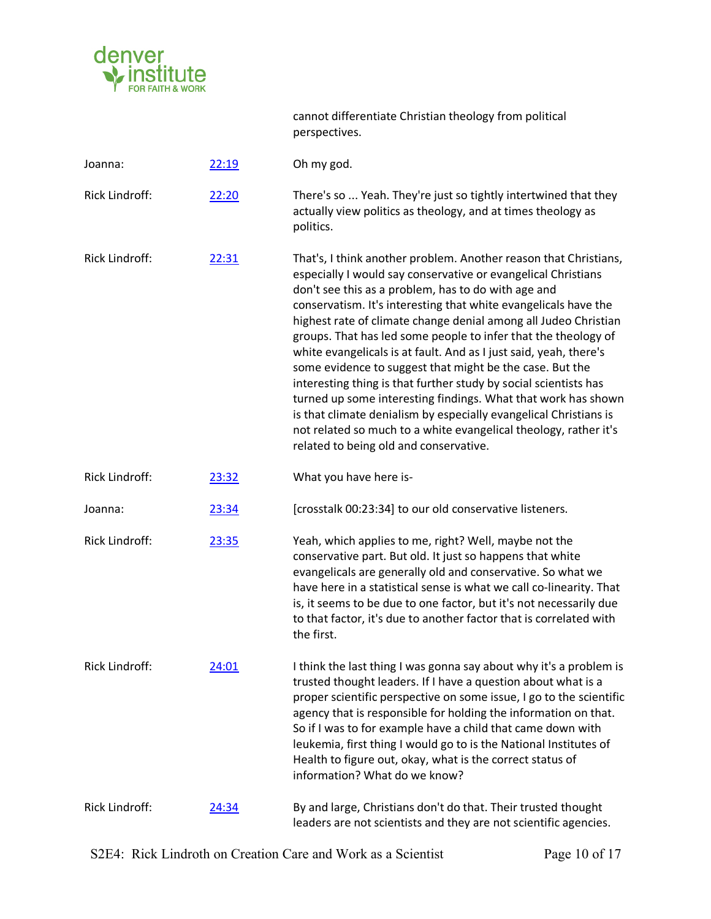

|                       |       | cannot differentiate Christian theology from political<br>perspectives.                                                                                                                                                                                                                                                                                                                                                                                                                                                                                                                                                                                                                                                                                                                                                                                   |
|-----------------------|-------|-----------------------------------------------------------------------------------------------------------------------------------------------------------------------------------------------------------------------------------------------------------------------------------------------------------------------------------------------------------------------------------------------------------------------------------------------------------------------------------------------------------------------------------------------------------------------------------------------------------------------------------------------------------------------------------------------------------------------------------------------------------------------------------------------------------------------------------------------------------|
| Joanna:               | 22:19 | Oh my god.                                                                                                                                                                                                                                                                                                                                                                                                                                                                                                                                                                                                                                                                                                                                                                                                                                                |
| Rick Lindroff:        | 22:20 | There's so  Yeah. They're just so tightly intertwined that they<br>actually view politics as theology, and at times theology as<br>politics.                                                                                                                                                                                                                                                                                                                                                                                                                                                                                                                                                                                                                                                                                                              |
| Rick Lindroff:        | 22:31 | That's, I think another problem. Another reason that Christians,<br>especially I would say conservative or evangelical Christians<br>don't see this as a problem, has to do with age and<br>conservatism. It's interesting that white evangelicals have the<br>highest rate of climate change denial among all Judeo Christian<br>groups. That has led some people to infer that the theology of<br>white evangelicals is at fault. And as I just said, yeah, there's<br>some evidence to suggest that might be the case. But the<br>interesting thing is that further study by social scientists has<br>turned up some interesting findings. What that work has shown<br>is that climate denialism by especially evangelical Christians is<br>not related so much to a white evangelical theology, rather it's<br>related to being old and conservative. |
| Rick Lindroff:        | 23:32 | What you have here is-                                                                                                                                                                                                                                                                                                                                                                                                                                                                                                                                                                                                                                                                                                                                                                                                                                    |
| Joanna:               | 23:34 | [crosstalk 00:23:34] to our old conservative listeners.                                                                                                                                                                                                                                                                                                                                                                                                                                                                                                                                                                                                                                                                                                                                                                                                   |
| Rick Lindroff:        | 23:35 | Yeah, which applies to me, right? Well, maybe not the<br>conservative part. But old. It just so happens that white<br>evangelicals are generally old and conservative. So what we<br>have here in a statistical sense is what we call co-linearity. That<br>is, it seems to be due to one factor, but it's not necessarily due<br>to that factor, it's due to another factor that is correlated with<br>the first.                                                                                                                                                                                                                                                                                                                                                                                                                                        |
| <b>Rick Lindroff:</b> | 24:01 | I think the last thing I was gonna say about why it's a problem is<br>trusted thought leaders. If I have a question about what is a<br>proper scientific perspective on some issue, I go to the scientific<br>agency that is responsible for holding the information on that.<br>So if I was to for example have a child that came down with<br>leukemia, first thing I would go to is the National Institutes of<br>Health to figure out, okay, what is the correct status of<br>information? What do we know?                                                                                                                                                                                                                                                                                                                                           |
| Rick Lindroff:        | 24:34 | By and large, Christians don't do that. Their trusted thought<br>leaders are not scientists and they are not scientific agencies.                                                                                                                                                                                                                                                                                                                                                                                                                                                                                                                                                                                                                                                                                                                         |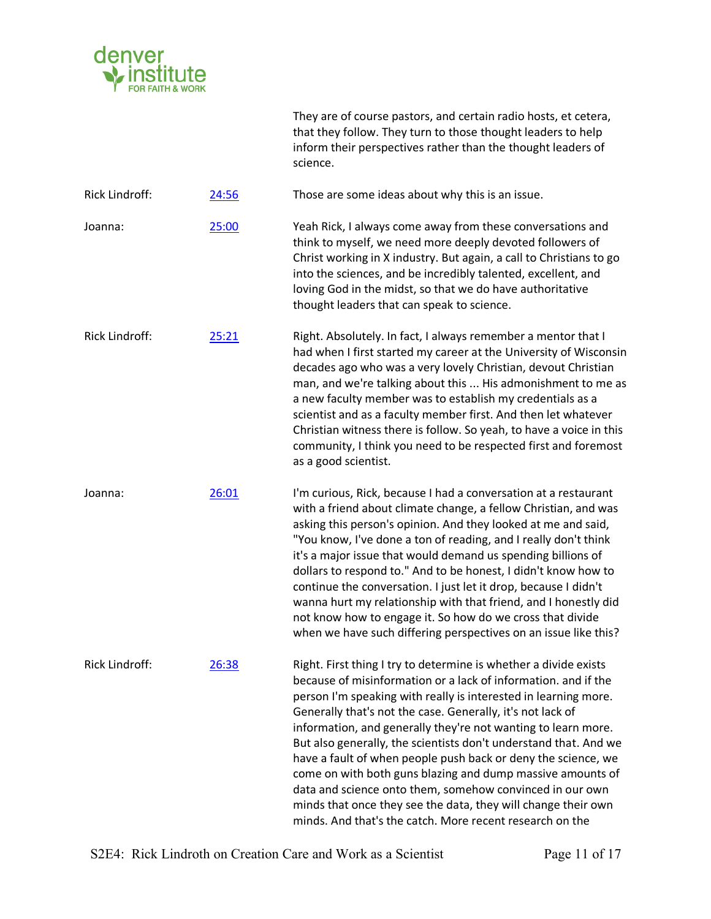

They are of course pastors, and certain radio hosts, et cetera, that they follow. They turn to those thought leaders to help inform their perspectives rather than the thought leaders of science.

Rick Lindroff: 24:56 Those are some ideas about why this is an issue.

Joanna: 25:00 Yeah Rick, I always come away from these conversations and think to myself, we need more deeply devoted followers of Christ working in X industry. But again, a call to Christians to go into the sciences, and be incredibly talented, excellent, and loving God in the midst, so that we do have authoritative thought leaders that can speak to science.

Rick Lindroff: 25:21 Right. Absolutely. In fact, I always remember a mentor that I had when I first started my career at the University of Wisconsin decades ago who was a very lovely Christian, devout Christian man, and we're talking about this ... His admonishment to me as a new faculty member was to establish my credentials as a scientist and as a faculty member first. And then let whatever Christian witness there is follow. So yeah, to have a voice in this community, I think you need to be respected first and foremost as a good scientist.

Joanna: 26:01 I'm curious, Rick, because I had a conversation at a restaurant with a friend about climate change, a fellow Christian, and was asking this person's opinion. And they looked at me and said, "You know, I've done a ton of reading, and I really don't think it's a major issue that would demand us spending billions of dollars to respond to." And to be honest, I didn't know how to continue the conversation. I just let it drop, because I didn't wanna hurt my relationship with that friend, and I honestly did not know how to engage it. So how do we cross that divide when we have such differing perspectives on an issue like this?

Rick Lindroff: 26:38 Right. First thing I try to determine is whether a divide exists because of misinformation or a lack of information. and if the person I'm speaking with really is interested in learning more. Generally that's not the case. Generally, it's not lack of information, and generally they're not wanting to learn more. But also generally, the scientists don't understand that. And we have a fault of when people push back or deny the science, we come on with both guns blazing and dump massive amounts of data and science onto them, somehow convinced in our own minds that once they see the data, they will change their own minds. And that's the catch. More recent research on the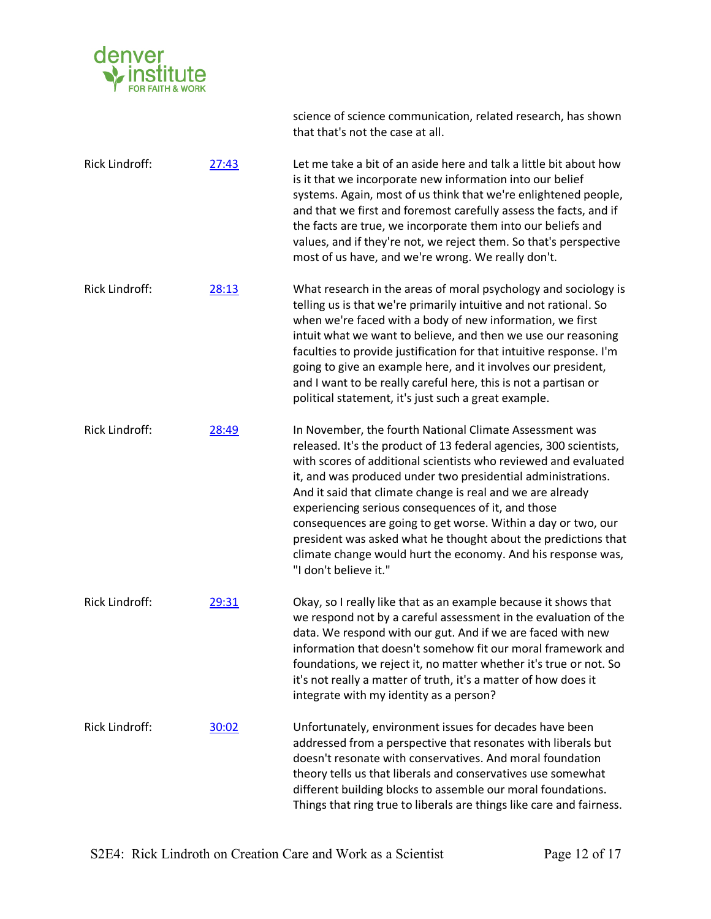

that that's not the case at all. Rick Lindroff: 27:43 Let me take a bit of an aside here and talk a little bit about how is it that we incorporate new information into our belief systems. Again, most of us think that we're enlightened people, and that we first and foremost carefully assess the facts, and if the facts are true, we incorporate them into our beliefs and values, and if they're not, we reject them. So that's perspective most of us have, and we're wrong. We really don't. Rick Lindroff: 28:13 What research in the areas of moral psychology and sociology is telling us is that we're primarily intuitive and not rational. So when we're faced with a body of new information, we first intuit what we want to believe, and then we use our reasoning faculties to provide justification for that intuitive response. I'm going to give an example here, and it involves our president, and I want to be really careful here, this is not a partisan or political statement, it's just such a great example. Rick Lindroff: 28:49 In November, the fourth National Climate Assessment was released. It's the product of 13 federal agencies, 300 scientists, with scores of additional scientists who reviewed and evaluated it, and was produced under two presidential administrations. And it said that climate change is real and we are already experiencing serious consequences of it, and those consequences are going to get worse. Within a day or two, our president was asked what he thought about the predictions that climate change would hurt the economy. And his response was, "I don't believe it." Rick Lindroff: 29:31 Okay, so I really like that as an example because it shows that we respond not by a careful assessment in the evaluation of the data. We respond with our gut. And if we are faced with new information that doesn't somehow fit our moral framework and foundations, we reject it, no matter whether it's true or not. So it's not really a matter of truth, it's a matter of how does it integrate with my identity as a person? Rick Lindroff: 30:02 Unfortunately, environment issues for decades have been addressed from a perspective that resonates with liberals but doesn't resonate with conservatives. And moral foundation theory tells us that liberals and conservatives use somewhat different building blocks to assemble our moral foundations. Things that ring true to liberals are things like care and fairness.

science of science communication, related research, has shown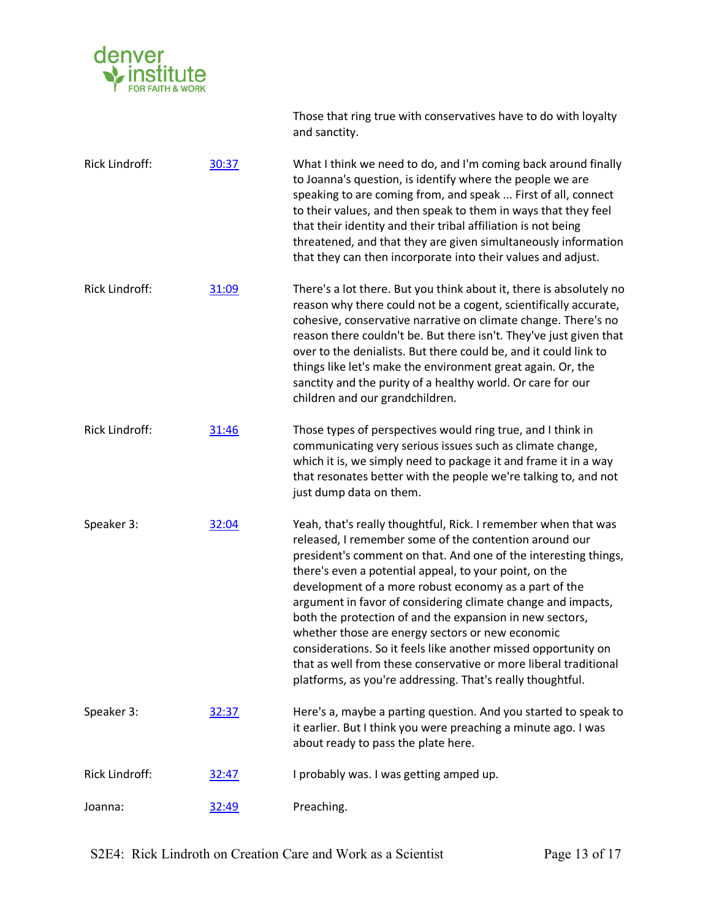

Rick Lindroff: 30:37 What I think we need to do, and I'm coming back around finally to Joanna's question, is identify where the people we are speaking to are coming from, and speak ... First of all, connect to their values, and then speak to them in ways that they feel that their identity and their tribal affiliation is not being threatened, and that they are given simultaneously information that they can then incorporate into their values and adjust. Rick Lindroff: 31:09 There's a lot there. But you think about it, there is absolutely no reason why there could not be a cogent, scientifically accurate, cohesive, conservative narrative on climate change. There's no reason there couldn't be. But there isn't. They've just given that over to the denialists. But there could be, and it could link to things like let's make the environment great again. Or, the sanctity and the purity of a healthy world. Or care for our children and our grandchildren. Rick Lindroff: 31:46 Those types of perspectives would ring true, and I think in communicating very serious issues such as climate change, which it is, we simply need to package it and frame it in a way that resonates better with the people we're talking to, and not just dump data on them. Speaker 3: 32:04 Yeah, that's really thoughtful, Rick. I remember when that was released, I remember some of the contention around our president's comment on that. And one of the interesting things, there's even a potential appeal, to your point, on the development of a more robust economy as a part of the argument in favor of considering climate change and impacts, both the protection of and the expansion in new sectors, whether those are energy sectors or new economic considerations. So it feels like another missed opportunity on that as well from these conservative or more liberal traditional platforms, as you're addressing. That's really thoughtful. Speaker 3: 32:37 Here's a, maybe a parting question. And you started to speak to it earlier. But I think you were preaching a minute ago. I was about ready to pass the plate here. Rick Lindroff: 32:47 I probably was. I was getting amped up.

and sanctity.

Those that ring true with conservatives have to do with loyalty

Joanna:  $\frac{32:49}{ }$  Preaching.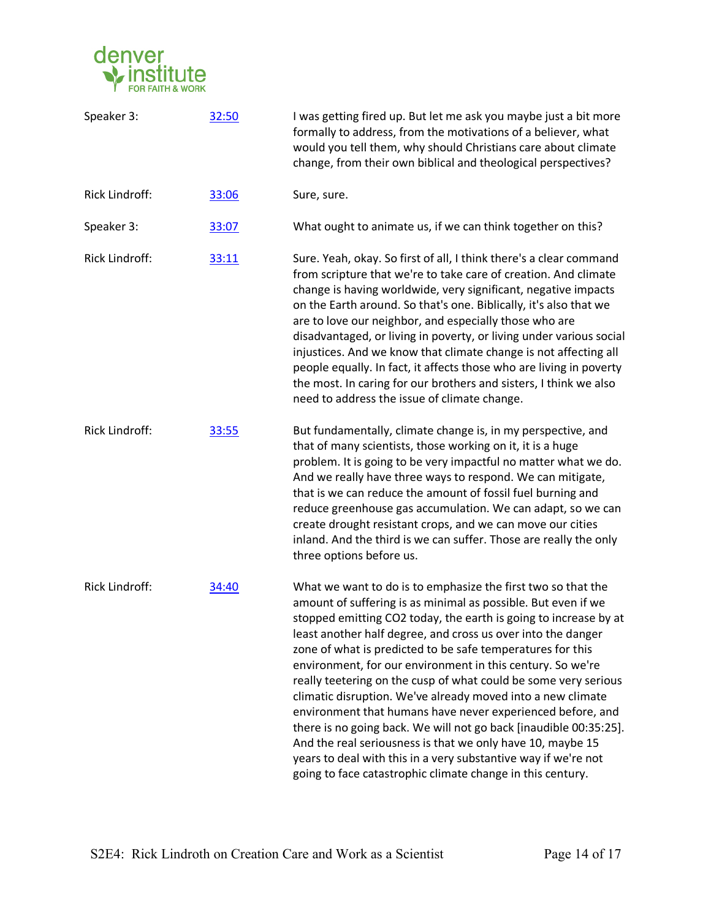

| Speaker 3:     | 32:50 | I was getting fired up. But let me ask you maybe just a bit more<br>formally to address, from the motivations of a believer, what<br>would you tell them, why should Christians care about climate<br>change, from their own biblical and theological perspectives?                                                                                                                                                                                                                                                                                                                                                                                                                                                                                                                                                                                              |
|----------------|-------|------------------------------------------------------------------------------------------------------------------------------------------------------------------------------------------------------------------------------------------------------------------------------------------------------------------------------------------------------------------------------------------------------------------------------------------------------------------------------------------------------------------------------------------------------------------------------------------------------------------------------------------------------------------------------------------------------------------------------------------------------------------------------------------------------------------------------------------------------------------|
| Rick Lindroff: | 33:06 | Sure, sure.                                                                                                                                                                                                                                                                                                                                                                                                                                                                                                                                                                                                                                                                                                                                                                                                                                                      |
| Speaker 3:     | 33:07 | What ought to animate us, if we can think together on this?                                                                                                                                                                                                                                                                                                                                                                                                                                                                                                                                                                                                                                                                                                                                                                                                      |
| Rick Lindroff: | 33:11 | Sure. Yeah, okay. So first of all, I think there's a clear command<br>from scripture that we're to take care of creation. And climate<br>change is having worldwide, very significant, negative impacts<br>on the Earth around. So that's one. Biblically, it's also that we<br>are to love our neighbor, and especially those who are<br>disadvantaged, or living in poverty, or living under various social<br>injustices. And we know that climate change is not affecting all<br>people equally. In fact, it affects those who are living in poverty<br>the most. In caring for our brothers and sisters, I think we also<br>need to address the issue of climate change.                                                                                                                                                                                    |
| Rick Lindroff: | 33:55 | But fundamentally, climate change is, in my perspective, and<br>that of many scientists, those working on it, it is a huge<br>problem. It is going to be very impactful no matter what we do.<br>And we really have three ways to respond. We can mitigate,<br>that is we can reduce the amount of fossil fuel burning and<br>reduce greenhouse gas accumulation. We can adapt, so we can<br>create drought resistant crops, and we can move our cities<br>inland. And the third is we can suffer. Those are really the only<br>three options before us.                                                                                                                                                                                                                                                                                                         |
| Rick Lindroff: | 34:40 | What we want to do is to emphasize the first two so that the<br>amount of suffering is as minimal as possible. But even if we<br>stopped emitting CO2 today, the earth is going to increase by at<br>least another half degree, and cross us over into the danger<br>zone of what is predicted to be safe temperatures for this<br>environment, for our environment in this century. So we're<br>really teetering on the cusp of what could be some very serious<br>climatic disruption. We've already moved into a new climate<br>environment that humans have never experienced before, and<br>there is no going back. We will not go back [inaudible 00:35:25].<br>And the real seriousness is that we only have 10, maybe 15<br>years to deal with this in a very substantive way if we're not<br>going to face catastrophic climate change in this century. |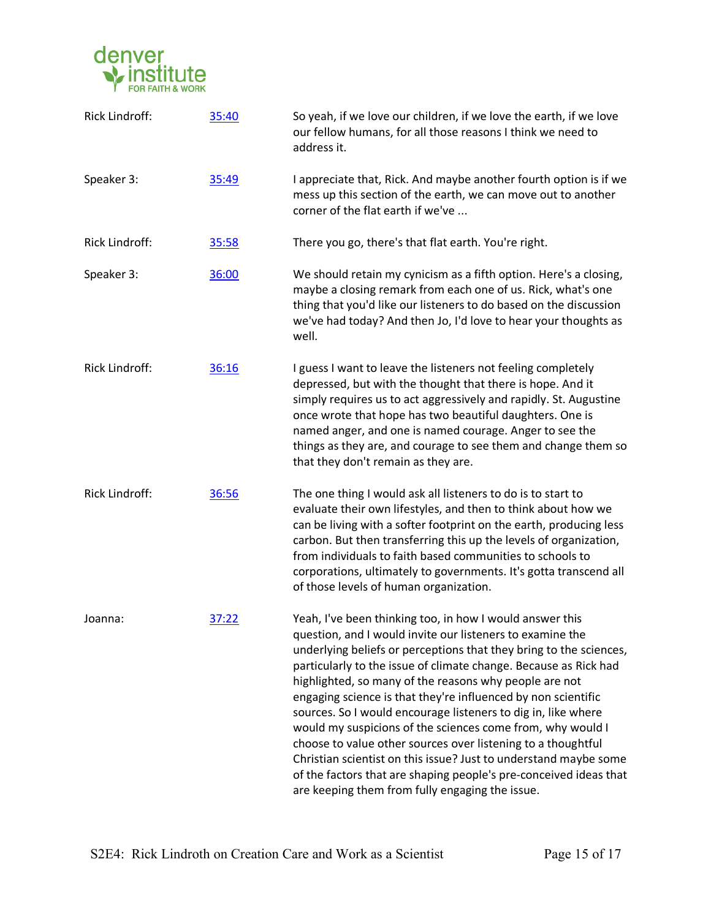

| Rick Lindroff: | 35:40 | So yeah, if we love our children, if we love the earth, if we love<br>our fellow humans, for all those reasons I think we need to<br>address it.                                                                                                                                                                                                                                                                                                                                                                                                                                                                                                                                                                                                                                      |
|----------------|-------|---------------------------------------------------------------------------------------------------------------------------------------------------------------------------------------------------------------------------------------------------------------------------------------------------------------------------------------------------------------------------------------------------------------------------------------------------------------------------------------------------------------------------------------------------------------------------------------------------------------------------------------------------------------------------------------------------------------------------------------------------------------------------------------|
| Speaker 3:     | 35:49 | I appreciate that, Rick. And maybe another fourth option is if we<br>mess up this section of the earth, we can move out to another<br>corner of the flat earth if we've                                                                                                                                                                                                                                                                                                                                                                                                                                                                                                                                                                                                               |
| Rick Lindroff: | 35:58 | There you go, there's that flat earth. You're right.                                                                                                                                                                                                                                                                                                                                                                                                                                                                                                                                                                                                                                                                                                                                  |
| Speaker 3:     | 36:00 | We should retain my cynicism as a fifth option. Here's a closing,<br>maybe a closing remark from each one of us. Rick, what's one<br>thing that you'd like our listeners to do based on the discussion<br>we've had today? And then Jo, I'd love to hear your thoughts as<br>well.                                                                                                                                                                                                                                                                                                                                                                                                                                                                                                    |
| Rick Lindroff: | 36:16 | I guess I want to leave the listeners not feeling completely<br>depressed, but with the thought that there is hope. And it<br>simply requires us to act aggressively and rapidly. St. Augustine<br>once wrote that hope has two beautiful daughters. One is<br>named anger, and one is named courage. Anger to see the<br>things as they are, and courage to see them and change them so<br>that they don't remain as they are.                                                                                                                                                                                                                                                                                                                                                       |
| Rick Lindroff: | 36:56 | The one thing I would ask all listeners to do is to start to<br>evaluate their own lifestyles, and then to think about how we<br>can be living with a softer footprint on the earth, producing less<br>carbon. But then transferring this up the levels of organization,<br>from individuals to faith based communities to schools to<br>corporations, ultimately to governments. It's gotta transcend all<br>of those levels of human organization.                                                                                                                                                                                                                                                                                                                                  |
| Joanna:        | 37:22 | Yeah, I've been thinking too, in how I would answer this<br>question, and I would invite our listeners to examine the<br>underlying beliefs or perceptions that they bring to the sciences,<br>particularly to the issue of climate change. Because as Rick had<br>highlighted, so many of the reasons why people are not<br>engaging science is that they're influenced by non scientific<br>sources. So I would encourage listeners to dig in, like where<br>would my suspicions of the sciences come from, why would I<br>choose to value other sources over listening to a thoughtful<br>Christian scientist on this issue? Just to understand maybe some<br>of the factors that are shaping people's pre-conceived ideas that<br>are keeping them from fully engaging the issue. |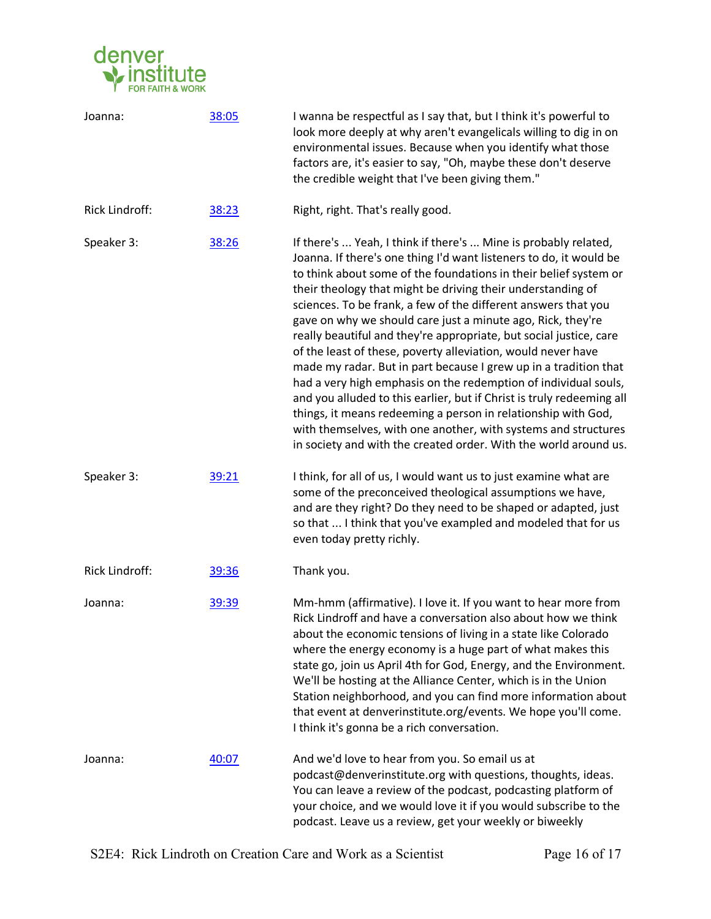

| Joanna:               | 38:05 | I wanna be respectful as I say that, but I think it's powerful to<br>look more deeply at why aren't evangelicals willing to dig in on<br>environmental issues. Because when you identify what those<br>factors are, it's easier to say, "Oh, maybe these don't deserve<br>the credible weight that I've been giving them."                                                                                                                                                                                                                                                                                                                                                                                                                                                                                                                                                                                                                                             |
|-----------------------|-------|------------------------------------------------------------------------------------------------------------------------------------------------------------------------------------------------------------------------------------------------------------------------------------------------------------------------------------------------------------------------------------------------------------------------------------------------------------------------------------------------------------------------------------------------------------------------------------------------------------------------------------------------------------------------------------------------------------------------------------------------------------------------------------------------------------------------------------------------------------------------------------------------------------------------------------------------------------------------|
| <b>Rick Lindroff:</b> | 38:23 | Right, right. That's really good.                                                                                                                                                                                                                                                                                                                                                                                                                                                                                                                                                                                                                                                                                                                                                                                                                                                                                                                                      |
| Speaker 3:            | 38:26 | If there's  Yeah, I think if there's  Mine is probably related,<br>Joanna. If there's one thing I'd want listeners to do, it would be<br>to think about some of the foundations in their belief system or<br>their theology that might be driving their understanding of<br>sciences. To be frank, a few of the different answers that you<br>gave on why we should care just a minute ago, Rick, they're<br>really beautiful and they're appropriate, but social justice, care<br>of the least of these, poverty alleviation, would never have<br>made my radar. But in part because I grew up in a tradition that<br>had a very high emphasis on the redemption of individual souls,<br>and you alluded to this earlier, but if Christ is truly redeeming all<br>things, it means redeeming a person in relationship with God,<br>with themselves, with one another, with systems and structures<br>in society and with the created order. With the world around us. |
| Speaker 3:            | 39:21 | I think, for all of us, I would want us to just examine what are<br>some of the preconceived theological assumptions we have,<br>and are they right? Do they need to be shaped or adapted, just<br>so that  I think that you've exampled and modeled that for us<br>even today pretty richly.                                                                                                                                                                                                                                                                                                                                                                                                                                                                                                                                                                                                                                                                          |
| <b>Rick Lindroff:</b> | 39:36 | Thank you.                                                                                                                                                                                                                                                                                                                                                                                                                                                                                                                                                                                                                                                                                                                                                                                                                                                                                                                                                             |
| Joanna:               | 39:39 | Mm-hmm (affirmative). I love it. If you want to hear more from<br>Rick Lindroff and have a conversation also about how we think<br>about the economic tensions of living in a state like Colorado<br>where the energy economy is a huge part of what makes this<br>state go, join us April 4th for God, Energy, and the Environment.<br>We'll be hosting at the Alliance Center, which is in the Union<br>Station neighborhood, and you can find more information about<br>that event at denverinstitute.org/events. We hope you'll come.<br>I think it's gonna be a rich conversation.                                                                                                                                                                                                                                                                                                                                                                                |
| Joanna:               | 40:07 | And we'd love to hear from you. So email us at<br>podcast@denverinstitute.org with questions, thoughts, ideas.<br>You can leave a review of the podcast, podcasting platform of<br>your choice, and we would love it if you would subscribe to the<br>podcast. Leave us a review, get your weekly or biweekly                                                                                                                                                                                                                                                                                                                                                                                                                                                                                                                                                                                                                                                          |